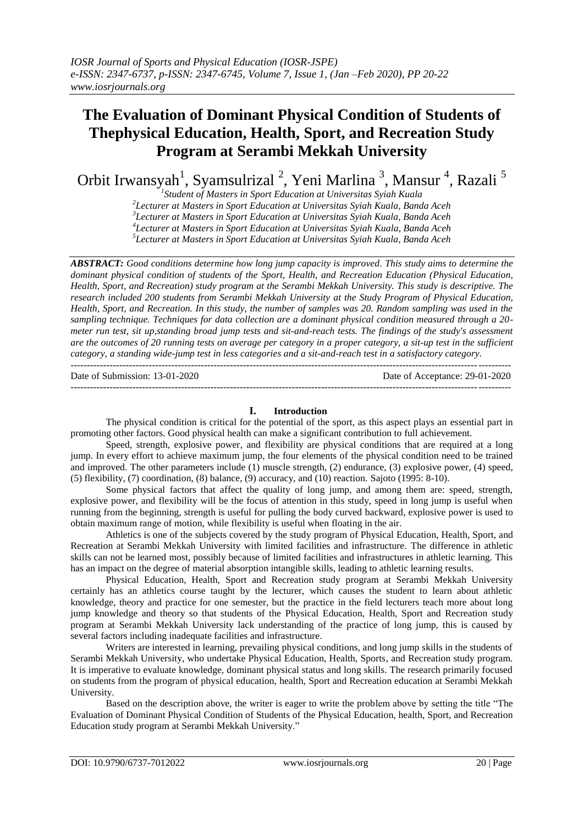# **The Evaluation of Dominant Physical Condition of Students of Thephysical Education, Health, Sport, and Recreation Study Program at Serambi Mekkah University**

Orbit Irwansyah<sup>1</sup>, Syamsulrizal <sup>2</sup>, Yeni Marlina <sup>3</sup>, Mansur <sup>4</sup>, Razali <sup>5</sup>

 *Student of Masters in Sport Education at Universitas Syiah Kuala Lecturer at Masters in Sport Education at Universitas Syiah Kuala, Banda Aceh Lecturer at Masters in Sport Education at Universitas Syiah Kuala, Banda Aceh Lecturer at Masters in Sport Education at Universitas Syiah Kuala, Banda Aceh Lecturer at Masters in Sport Education at Universitas Syiah Kuala, Banda Aceh*

*ABSTRACT: Good conditions determine how long jump capacity is improved. This study aims to determine the dominant physical condition of students of the Sport, Health, and Recreation Education (Physical Education, Health, Sport, and Recreation) study program at the Serambi Mekkah University. This study is descriptive. The research included 200 students from Serambi Mekkah University at the Study Program of Physical Education, Health, Sport, and Recreation. In this study, the number of samples was 20. Random sampling was used in the sampling technique. Techniques for data collection are a dominant physical condition measured through a 20 meter run test, sit up,standing broad jump tests and sit-and-reach tests. The findings of the study's assessment are the outcomes of 20 running tests on average per category in a proper category, a sit-up test in the sufficient category, a standing wide-jump test in less categories and a sit-and-reach test in a satisfactory category.*

---------------------------------------------------------------------------------------------------------------------------------------

Date of Submission: 13-01-2020 Date of Acceptance: 29-01-2020 ---------------------------------------------------------------------------------------------------------------------------------------

## **I. Introduction**

The physical condition is critical for the potential of the sport, as this aspect plays an essential part in promoting other factors. Good physical health can make a significant contribution to full achievement.

Speed, strength, explosive power, and flexibility are physical conditions that are required at a long jump. In every effort to achieve maximum jump, the four elements of the physical condition need to be trained and improved. The other parameters include (1) muscle strength, (2) endurance, (3) explosive power, (4) speed, (5) flexibility, (7) coordination, (8) balance, (9) accuracy, and (10) reaction. Sajoto (1995: 8-10).

Some physical factors that affect the quality of long jump, and among them are: speed, strength, explosive power, and flexibility will be the focus of attention in this study, speed in long jump is useful when running from the beginning, strength is useful for pulling the body curved backward, explosive power is used to obtain maximum range of motion, while flexibility is useful when floating in the air.

Athletics is one of the subjects covered by the study program of Physical Education, Health, Sport, and Recreation at Serambi Mekkah University with limited facilities and infrastructure. The difference in athletic skills can not be learned most, possibly because of limited facilities and infrastructures in athletic learning. This has an impact on the degree of material absorption intangible skills, leading to athletic learning results.

Physical Education, Health, Sport and Recreation study program at Serambi Mekkah University certainly has an athletics course taught by the lecturer, which causes the student to learn about athletic knowledge, theory and practice for one semester, but the practice in the field lecturers teach more about long jump knowledge and theory so that students of the Physical Education, Health, Sport and Recreation study program at Serambi Mekkah University lack understanding of the practice of long jump, this is caused by several factors including inadequate facilities and infrastructure.

Writers are interested in learning, prevailing physical conditions, and long jump skills in the students of Serambi Mekkah University, who undertake Physical Education, Health, Sports, and Recreation study program. It is imperative to evaluate knowledge, dominant physical status and long skills. The research primarily focused on students from the program of physical education, health, Sport and Recreation education at Serambi Mekkah University.

Based on the description above, the writer is eager to write the problem above by setting the title "The Evaluation of Dominant Physical Condition of Students of the Physical Education, health, Sport, and Recreation Education study program at Serambi Mekkah University."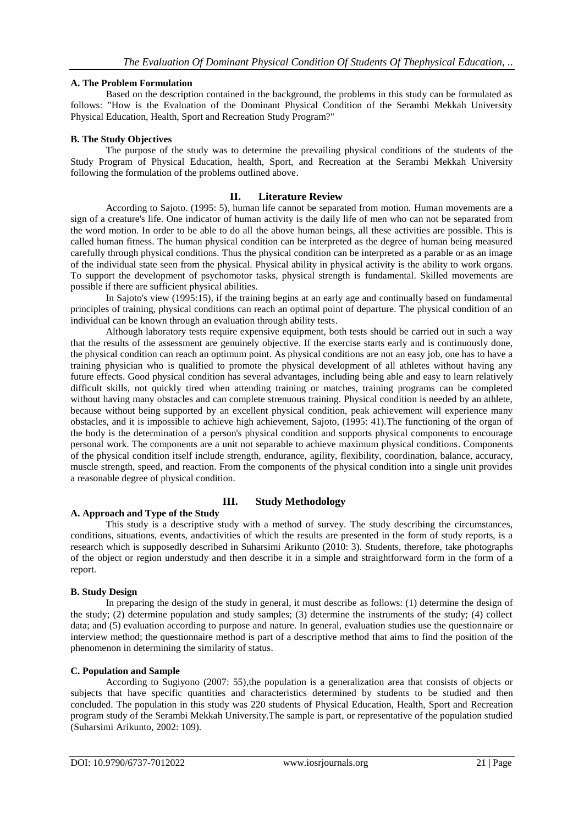## **A. The Problem Formulation**

Based on the description contained in the background, the problems in this study can be formulated as follows: "How is the Evaluation of the Dominant Physical Condition of the Serambi Mekkah University Physical Education, Health, Sport and Recreation Study Program?"

## **B. The Study Objectives**

The purpose of the study was to determine the prevailing physical conditions of the students of the Study Program of Physical Education, health, Sport, and Recreation at the Serambi Mekkah University following the formulation of the problems outlined above.

## **II. Literature Review**

According to Sajoto. (1995: 5), human life cannot be separated from motion. Human movements are a sign of a creature's life. One indicator of human activity is the daily life of men who can not be separated from the word motion. In order to be able to do all the above human beings, all these activities are possible. This is called human fitness. The human physical condition can be interpreted as the degree of human being measured carefully through physical conditions. Thus the physical condition can be interpreted as a parable or as an image of the individual state seen from the physical. Physical ability in physical activity is the ability to work organs. To support the development of psychomotor tasks, physical strength is fundamental. Skilled movements are possible if there are sufficient physical abilities.

In Sajoto's view (1995:15), if the training begins at an early age and continually based on fundamental principles of training, physical conditions can reach an optimal point of departure. The physical condition of an individual can be known through an evaluation through ability tests.

Although laboratory tests require expensive equipment, both tests should be carried out in such a way that the results of the assessment are genuinely objective. If the exercise starts early and is continuously done, the physical condition can reach an optimum point. As physical conditions are not an easy job, one has to have a training physician who is qualified to promote the physical development of all athletes without having any future effects. Good physical condition has several advantages, including being able and easy to learn relatively difficult skills, not quickly tired when attending training or matches, training programs can be completed without having many obstacles and can complete strenuous training. Physical condition is needed by an athlete, because without being supported by an excellent physical condition, peak achievement will experience many obstacles, and it is impossible to achieve high achievement, Sajoto, (1995: 41).The functioning of the organ of the body is the determination of a person's physical condition and supports physical components to encourage personal work. The components are a unit not separable to achieve maximum physical conditions. Components of the physical condition itself include strength, endurance, agility, flexibility, coordination, balance, accuracy, muscle strength, speed, and reaction. From the components of the physical condition into a single unit provides a reasonable degree of physical condition.

# **A. Approach and Type of the Study**

## **III. Study Methodology**

This study is a descriptive study with a method of survey. The study describing the circumstances, conditions, situations, events, andactivities of which the results are presented in the form of study reports, is a research which is supposedly described in Suharsimi Arikunto (2010: 3). Students, therefore, take photographs of the object or region understudy and then describe it in a simple and straightforward form in the form of a report.

## **B. Study Design**

In preparing the design of the study in general, it must describe as follows: (1) determine the design of the study; (2) determine population and study samples; (3) determine the instruments of the study; (4) collect data; and (5) evaluation according to purpose and nature. In general, evaluation studies use the questionnaire or interview method; the questionnaire method is part of a descriptive method that aims to find the position of the phenomenon in determining the similarity of status.

## **C. Population and Sample**

According to Sugiyono (2007: 55),the population is a generalization area that consists of objects or subjects that have specific quantities and characteristics determined by students to be studied and then concluded. The population in this study was 220 students of Physical Education, Health, Sport and Recreation program study of the Serambi Mekkah University.The sample is part, or representative of the population studied (Suharsimi Arikunto, 2002: 109).